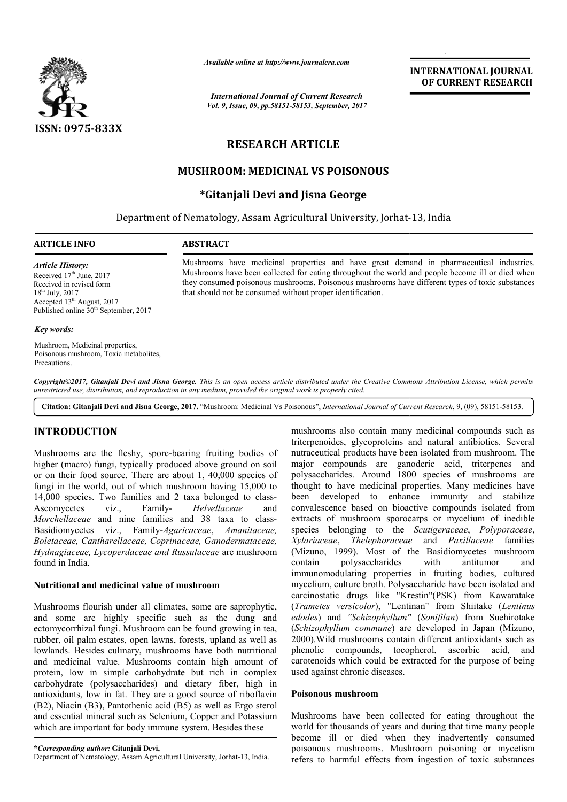

*Available online at http://www.journalcra.com*

*International Journal of Current Research Vol. 9, Issue, 09, pp.58151-58153, September, 2017* **INTERNATIONAL JOURNAL OF CURRENT RESEARCH**

# **RESEARCH ARTICLE**

# **MUSHROOM: MEDICINAL VS POISONOUS**

# **\* \*Gitanjali Devi and Jisna George**

Department of Nematology, Assam Agricultural University, Jorhat-13, India

### **ARTICLE INFO ABSTRACT**

*Article History:* Received 17<sup>th</sup> June, 2017

Received in revised form 18th July, 2017

Accepted 13<sup>th</sup> August, 2017 Published online  $30<sup>th</sup>$  September, 2017 Mushrooms have medicinal properties and have great demand in pharmaceutical industries. Mushrooms have been collected for eating throughout the world and people become ill or died when Mushrooms have medicinal properties and have great demand in pharmaceutical industries.<br>Mushrooms have been collected for eating throughout the world and people become ill or died when<br>they consumed poisonous mushrooms. Po that should not be consumed without proper identification.

# *Key words:*

Mushroom, Medicinal properties, Poisonous mushroom, Toxic metabolites, **Precautions** 

Copyright©2017, Gitanjali Devi and Jisna George. This is an open access article distributed under the Creative Commons Attribution License, which permits unrestricted use, distribution, and reproduction in any medium, provided the original work is properly cited.

Citation: Gitanjali Devi and Jisna George, 2017. "Mushroom: Medicinal Vs Poisonous", *International Journal of Current Research*, 9, (09), 58151-58153.

## **INTRODUCTION**

Mushrooms are the fleshy, spore-bearing fruiting bodies of higher (macro) fungi, typically produced above ground on soil or on their food source. There are about 1, 40,000 species of fungi in the world, out of which mushroom having 15,000 to 14,000 species. Two families and 2 taxa belonged to class Ascomycetes viz., Family- *Helvellaceae*  Morchellaceae and nine families and 38 taxa to class-Basidiomycetes viz., Family-*Agaricaceae* , *Amanitaceae, Boletaceae, Cantharellaceae, Coprinaceae, Gano Ganodermataceae, Hydnagiaceae, Lycoperdaceae and Russulaceae* are mushroom found in India. e the fleshy, spore-bearing fruiting bodies of<br>fungi, typically produced above ground on soil<br>d source. There are about 1, 40,000 species of<br>orld, out of which mushroom having 15,000 to<br>. Two families and 2 taxa belonged t and

#### **Nutritional and medicinal value of mushroom**

Mushrooms flourish under all climates, some are saprophytic, and some are highly specific such as the dung and ectomycorrhizal fungi. Mushroom can be found growing in tea, rubber, oil palm estates, open lawns, forests, upland as well as lowlands. Besides culinary, mushrooms have both nutritional and medicinal value. Mushrooms contain high amount of protein, low in simple carbohydrate but rich in complex carbohydrate (polysaccharides) and dietary fiber, high in antioxidants, low in fat. They are a good sourc (B2), Niacin (B3), Pantothenic acid (B5) as well as Ergo sterol and essential mineral such as Selenium, Copper and Potassium which are important for body immune system. Besides these ulinary, mushrooms have both nutritional<br>inclusions contain high amount of<br>mple carbohydrate but rich in complex<br>saccharides) and dietary fiber, high in<br>fat. They are a good source of riboflavin

Department of Nematology, Assam Agricultural University, Jorhat-13, India.

mushrooms also contain many medicinal compounds such as triterpenoides, glycoproteins and natural antibiotics. Several nutraceutical products have been isolated from mushroom. The major compounds are ganoderic acid, triterpenes and polysaccharides. Around 1800 species of mushrooms are thought to have medicinal properties. Many medicines have been developed to enhance immunity and stabilize convalescence based on bioactive compounds isolated from extracts of mushroom sporocarps or mycelium of inedible species belonging to the Scutigeraceae, Polyporaceae, *Xylariaceae*, *Thelephoraceae Thelephoraceae* and *Paxillaceae* families (Mizuno, 1999). Most of the Basidiomycetes mushroom contain polysaccharides with antitumor and immunomodulating properties in fruiting bodies, cultured mycelium, culture broth. Polysaccharide have been isolated and carcinostatic drugs like "Krestin"(PSK) from Kawaratake (*Trametes versicolor*), "Lentinan" from Shiitake (*Lentinus edodes*) and *"Schizophyllum"*  (*Sonifilan*) from Suehirotake (*Schizophyllum commune*) are developed in Japan (Mizuno, 2000).Wild mushrooms contain different antioxidants such as phenolic compounds, tocopherol, ascorbic acid, and carotenoids which could be extracted for the purpose of being used against chronic diseases. triterpenoides, glycoproteins and natural antibiotics. Several nutraceutical products have been isolated from mushroom. The major compounds are ganoderic acid, triterpenes and polysaccharides. Around 1800 species of mushro 1999). Most of the Basidiomycetes mushroom<br>polysaccharides with antitumor and<br>dulating properties in fruiting bodies, cultured<br>culture broth. Polysaccharide have been isolated and<br>ic drugs like "Krestin"(PSK) from Kawarata 2000). Wild mushrooms contain different antioxidants such as<br>phenolic compounds, tocopherol, ascorbic acid, and<br>carotenoids which could be extracted for the purpose of being<br>used against chronic diseases.<br>**Poisonous mushro EXERCISE THE SET CONSUMMAL SURFAINT CONSUMMAL CONSUMMAL CONSUMMAL CONSUMMAL CONSUMMAL CONSUMMAL CONSUMMAL CONSUMMAL CONSUMMAL AND SURFAINT RESEARCH THE STANDAL VS POISONOUS (and the second of the standard in pharmaceutic** 

### **Poisonous mushroom**

Mushrooms have been collected for eating throughout the world for thousands of years and during that time many people become ill or died when they inadvertently consumed poisonous mushrooms. Mushroom poisoning or mycetism refers to harmful effects from ingestion of toxic substances

**<sup>\*</sup>***Corresponding author:* **Gitanjali Devi,**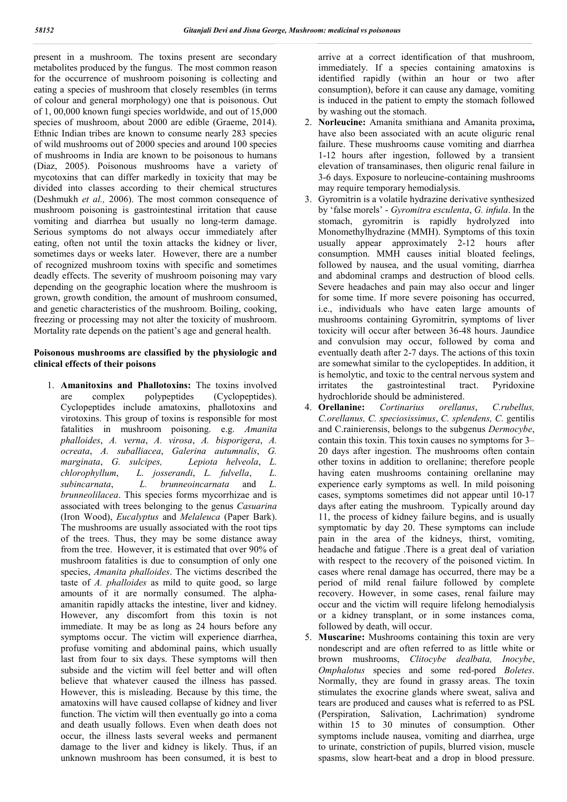present in a mushroom. The toxins present are secondary metabolites produced by the fungus. The most common reason for the occurrence of mushroom poisoning is collecting and eating a species of mushroom that closely resembles (in terms of colour and general morphology) one that is poisonous. Out of 1, 00,000 known fungi species worldwide, and out of 15,000 species of mushroom, about 2000 are edible (Graeme, 2014). Ethnic Indian tribes are known to consume nearly 283 species of wild mushrooms out of 2000 species and around 100 species of mushrooms in India are known to be poisonous to humans (Diaz, 2005). Poisonous mushrooms have a variety of mycotoxins that can differ markedly in toxicity that may be divided into classes according to their chemical structures (Deshmukh *et al.,* 2006). The most common consequence of mushroom poisoning is gastrointestinal irritation that cause vomiting and diarrhea but usually no long-term damage. Serious symptoms do not always occur immediately after eating, often not until the toxin attacks the kidney or liver, sometimes days or weeks later. However, there are a number of recognized mushroom toxins with specific and sometimes deadly effects. The severity of mushroom poisoning may vary depending on the geographic location where the mushroom is grown, growth condition, the amount of mushroom consumed, and genetic characteristics of the mushroom. Boiling, cooking, freezing or processing may not alter the toxicity of mushroom. Mortality rate depends on the patient's age and general health.

## **Poisonous mushrooms are classified by the physiologic and clinical effects of their poisons**

1. **Amanitoxins and Phallotoxins:** The toxins involved are complex polypeptides (Cyclopeptides). Cyclopeptides include amatoxins, phallotoxins and virotoxins. This group of toxins is responsible for most fatalities in mushroom poisoning. e.g. *Amanita phalloides*, *A. verna*, *A. virosa*, *A. bisporigera*, *A. ocreata*, *A. suballiacea*, *Galerina autumnalis*, *G. marginata*, *G. sulcipes, Lepiota helveola*, *L. chlorophyllum*, *L. josserandi*, *L. fulvella*,*L. subincarnata*,*L. brunneoincarnata* and *L. brunneolilacea*. This species forms mycorrhizae and is associated with trees belonging to the genus *Casuarina* (Iron Wood), *Eucalyptus* and *Melaleuca* (Paper Bark). The mushrooms are usually associated with the root tips of the trees. Thus, they may be some distance away from the tree. However, it is estimated that over 90% of mushroom fatalities is due to consumption of only one species, *Amanita phalloides*. The victims described the taste of *A. phalloides* as mild to quite good, so large amounts of it are normally consumed. The alphaamanitin rapidly attacks the intestine, liver and kidney. However, any discomfort from this toxin is not immediate. It may be as long as 24 hours before any symptoms occur. The victim will experience diarrhea, profuse vomiting and abdominal pains, which usually last from four to six days. These symptoms will then subside and the victim will feel better and will often believe that whatever caused the illness has passed. However, this is misleading. Because by this time, the amatoxins will have caused collapse of kidney and liver function. The victim will then eventually go into a coma and death usually follows. Even when death does not occur, the illness lasts several weeks and permanent damage to the liver and kidney is likely. Thus, if an unknown mushroom has been consumed, it is best to

arrive at a correct identification of that mushroom, immediately. If a species containing amatoxins is identified rapidly (within an hour or two after consumption), before it can cause any damage, vomiting is induced in the patient to empty the stomach followed by washing out the stomach.

- 2. **Norleucine:** Amanita smithiana and Amanita proxima**,** have also been associated with an acute oliguric renal failure. These mushrooms cause vomiting and diarrhea 1-12 hours after ingestion, followed by a transient elevation of transaminases, then oliguric renal failure in 3-6 days. Exposure to norleucine-containing mushrooms may require temporary hemodialysis.
- 3. Gyromitrin is a volatile hydrazine derivative synthesized by 'false morels' - *Gyromitra esculenta*, *G. infula*. In the stomach, gyromitrin is rapidly hydrolyzed into Monomethylhydrazine (MMH). Symptoms of this toxin usually appear approximately 2-12 hours after consumption. MMH causes initial bloated feelings, followed by nausea, and the usual vomiting, diarrhea and abdominal cramps and destruction of blood cells. Severe headaches and pain may also occur and linger for some time. If more severe poisoning has occurred, i.e., individuals who have eaten large amounts of mushrooms containing Gyromitrin, symptoms of liver toxicity will occur after between 36-48 hours. Jaundice and convulsion may occur, followed by coma and eventually death after 2-7 days. The actions of this toxin are somewhat similar to the cyclopeptides. In addition, it is hemolytic, and toxic to the central nervous system and irritates the gastrointestinal tract. Pyridoxine hydrochloride should be administered.
- 4. **Orellanine:** *Cortinarius orellanus*, *C.rubellus, C.orellanus, C. speciosissimus*, *C. splendens, C.* gentilis and C.rainierensis, belongs to the subgenus *Dermocybe*, contain this toxin. This toxin causes no symptoms for 3– 20 days after ingestion. The mushrooms often contain other toxins in addition to orellanine; therefore people having eaten mushrooms containing orellanine may experience early symptoms as well. In mild poisoning cases, symptoms sometimes did not appear until 10-17 days after eating the mushroom. Typically around day 11, the process of kidney failure begins, and is usually symptomatic by day 20. These symptoms can include pain in the area of the kidneys, thirst, vomiting, headache and fatigue .There is a great deal of variation with respect to the recovery of the poisoned victim. In cases where renal damage has occurred, there may be a period of mild renal failure followed by complete recovery. However, in some cases, renal failure may occur and the victim will require lifelong hemodialysis or a kidney transplant, or in some instances coma, followed by death, will occur.
- 5. **Muscarine:** Mushrooms containing this toxin are very nondescript and are often referred to as little white or brown mushrooms, *Clitocybe dealbata, Inocybe*, *Omphalotus* species and some red-pored *Boletes*. Normally, they are found in grassy areas. The toxin stimulates the exocrine glands where sweat, saliva and tears are produced and causes what is referred to as PSL (Perspiration, Salivation, Lachrimation) syndrome within 15 to 30 minutes of consumption. Other symptoms include nausea, vomiting and diarrhea, urge to urinate, constriction of pupils, blurred vision, muscle spasms, slow heart-beat and a drop in blood pressure.